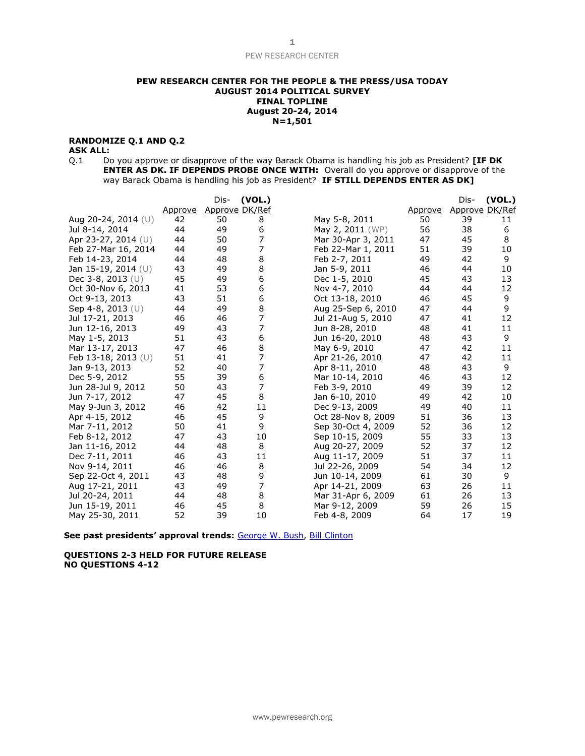#### **PEW RESEARCH CENTER FOR THE PEOPLE & THE PRESS/USA TODAY AUGUST 2014 POLITICAL SURVEY FINAL TOPLINE August 20-24, 2014 N=1,501**

### **RANDOMIZE Q.1 AND Q.2**

# **ASK ALL:**

Q.1 Do you approve or disapprove of the way Barack Obama is handling his job as President? **[IF DK ENTER AS DK. IF DEPENDS PROBE ONCE WITH:** Overall do you approve or disapprove of the way Barack Obama is handling his job as President? **IF STILL DEPENDS ENTER AS DK]**

|                        |         | Dis- | (VOL.)         |                    |                | Dis-           | (VOL.) |
|------------------------|---------|------|----------------|--------------------|----------------|----------------|--------|
|                        | Approve |      | Approve DK/Ref |                    | <u>Approve</u> | Approve DK/Ref |        |
| Aug 20-24, 2014 (U)    | 42      | 50   | 8              | May 5-8, 2011      | 50             | 39             | 11     |
| Jul 8-14, 2014         | 44      | 49   | 6              | May 2, 2011 (WP)   | 56             | 38             | 6      |
| Apr 23-27, 2014 $(U)$  | 44      | 50   | 7              | Mar 30-Apr 3, 2011 | 47             | 45             | 8      |
| Feb 27-Mar 16, 2014    | 44      | 49   | 7              | Feb 22-Mar 1, 2011 | 51             | 39             | 10     |
| Feb 14-23, 2014        | 44      | 48   | 8              | Feb 2-7, 2011      | 49             | 42             | 9      |
| Jan 15-19, 2014 (U)    | 43      | 49   | 8              | Jan 5-9, 2011      | 46             | 44             | 10     |
| Dec $3-8$ , $2013$ (U) | 45      | 49   | 6              | Dec 1-5, 2010      | 45             | 43             | 13     |
| Oct 30-Nov 6, 2013     | 41      | 53   | 6              | Nov 4-7, 2010      | 44             | 44             | 12     |
| Oct 9-13, 2013         | 43      | 51   | 6              | Oct 13-18, 2010    | 46             | 45             | 9      |
| Sep 4-8, 2013 (U)      | 44      | 49   | 8              | Aug 25-Sep 6, 2010 | 47             | 44             | 9      |
| Jul 17-21, 2013        | 46      | 46   | 7              | Jul 21-Aug 5, 2010 | 47             | 41             | 12     |
| Jun 12-16, 2013        | 49      | 43   | 7              | Jun 8-28, 2010     | 48             | 41             | 11     |
| May 1-5, 2013          | 51      | 43   | 6              | Jun 16-20, 2010    | 48             | 43             | 9      |
| Mar 13-17, 2013        | 47      | 46   | 8              | May 6-9, 2010      | 47             | 42             | 11     |
| Feb 13-18, 2013 $(U)$  | 51      | 41   | 7              | Apr 21-26, 2010    | 47             | 42             | 11     |
| Jan 9-13, 2013         | 52      | 40   | 7              | Apr 8-11, 2010     | 48             | 43             | 9      |
| Dec 5-9, 2012          | 55      | 39   | 6              | Mar 10-14, 2010    | 46             | 43             | 12     |
| Jun 28-Jul 9, 2012     | 50      | 43   | 7              | Feb 3-9, 2010      | 49             | 39             | 12     |
| Jun 7-17, 2012         | 47      | 45   | 8              | Jan 6-10, 2010     | 49             | 42             | 10     |
| May 9-Jun 3, 2012      | 46      | 42   | 11             | Dec 9-13, 2009     | 49             | 40             | 11     |
| Apr 4-15, 2012         | 46      | 45   | 9              | Oct 28-Nov 8, 2009 | 51             | 36             | 13     |
| Mar 7-11, 2012         | 50      | 41   | 9              | Sep 30-Oct 4, 2009 | 52             | 36             | 12     |
| Feb 8-12, 2012         | 47      | 43   | 10             | Sep 10-15, 2009    | 55             | 33             | 13     |
| Jan 11-16, 2012        | 44      | 48   | 8              | Aug 20-27, 2009    | 52             | 37             | 12     |
| Dec 7-11, 2011         | 46      | 43   | 11             | Aug 11-17, 2009    | 51             | 37             | 11     |
| Nov 9-14, 2011         | 46      | 46   | 8              | Jul 22-26, 2009    | 54             | 34             | 12     |
| Sep 22-Oct 4, 2011     | 43      | 48   | 9              | Jun 10-14, 2009    | 61             | 30             | 9      |
| Aug 17-21, 2011        | 43      | 49   | $\overline{7}$ | Apr 14-21, 2009    | 63             | 26             | 11     |
| Jul 20-24, 2011        | 44      | 48   | 8              | Mar 31-Apr 6, 2009 | 61             | 26             | 13     |
| Jun 15-19, 2011        | 46      | 45   | 8              | Mar 9-12, 2009     | 59             | 26             | 15     |
| May 25-30, 2011        | 52      | 39   | 10             | Feb 4-8, 2009      | 64             | 17             | 19     |

**See past presidents' approval trends:** [George W. Bush,](http://www.people-press.org/files/legacy-questionnaires/483.pdf) [Bill Clinton](http://www.people-press.org/files/legacy-questionnaires/18.pdf)

**QUESTIONS 2-3 HELD FOR FUTURE RELEASE NO QUESTIONS 4-12**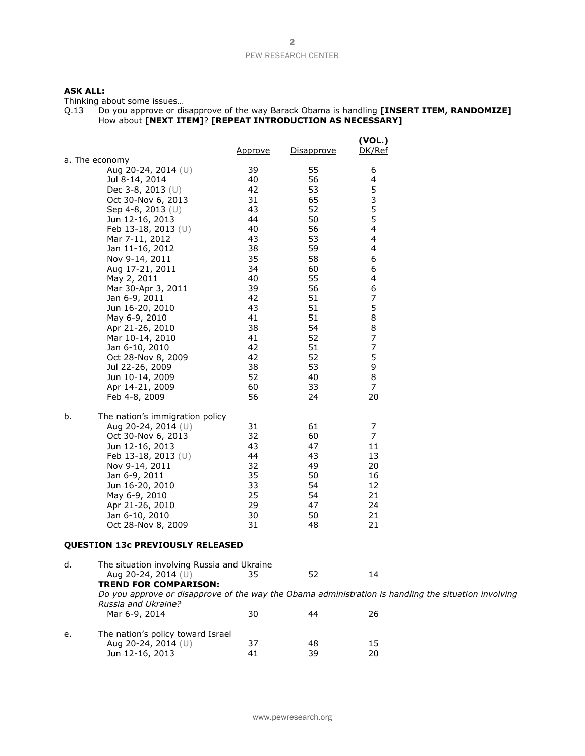# **ASK ALL:**

Thinking about some issues…

| Q.13 | Do you approve or disapprove of the way Barack Obama is handling [INSERT ITEM, RANDOMIZE] |
|------|-------------------------------------------------------------------------------------------|
|      | How about [NEXT ITEM]? [REPEAT INTRODUCTION AS NECESSARY]                                 |

|                                                                                                                                                                                                                                                                                                                                                            | Approve                                                                                            | Disapprove                                                                                         | (VOL.)<br>DK/Ref                                                                  |
|------------------------------------------------------------------------------------------------------------------------------------------------------------------------------------------------------------------------------------------------------------------------------------------------------------------------------------------------------------|----------------------------------------------------------------------------------------------------|----------------------------------------------------------------------------------------------------|-----------------------------------------------------------------------------------|
| a. The economy<br>Aug 20-24, 2014 (U)<br>Jul 8-14, 2014<br>Dec 3-8, 2013 $(U)$<br>Oct 30-Nov 6, 2013<br>Sep 4-8, 2013 (U)<br>Jun 12-16, 2013<br>Feb 13-18, 2013 (U)<br>Mar 7-11, 2012<br>Jan 11-16, 2012<br>Nov 9-14, 2011<br>Aug 17-21, 2011<br>May 2, 2011<br>Mar 30-Apr 3, 2011<br>Jan 6-9, 2011<br>Jun 16-20, 2010<br>May 6-9, 2010<br>Apr 21-26, 2010 | 39<br>40<br>42<br>31<br>43<br>44<br>40<br>43<br>38<br>35<br>34<br>40<br>39<br>42<br>43<br>41<br>38 | 55<br>56<br>53<br>65<br>52<br>50<br>56<br>53<br>59<br>58<br>60<br>55<br>56<br>51<br>51<br>51<br>54 | 6<br>4<br>5<br>3<br>5<br>5<br>4<br>4<br>4<br>6<br>6<br>4<br>6<br>7<br>5<br>8<br>8 |
| Mar 10-14, 2010<br>Jan 6-10, 2010<br>Oct 28-Nov 8, 2009<br>Jul 22-26, 2009<br>Jun 10-14, 2009<br>Apr 14-21, 2009<br>Feb 4-8, 2009<br>b.<br>The nation's immigration policy                                                                                                                                                                                 | 41<br>42<br>42<br>38<br>52<br>60<br>56                                                             | 52<br>51<br>52<br>53<br>40<br>33<br>24                                                             | 7<br>7<br>5<br>9<br>8<br>7<br>20                                                  |
| Aug 20-24, 2014 (U)<br>Oct 30-Nov 6, 2013<br>Jun 12-16, 2013<br>Feb 13-18, 2013 (U)<br>Nov 9-14, 2011<br>Jan 6-9, 2011<br>Jun 16-20, 2010<br>May 6-9, 2010<br>Apr 21-26, 2010<br>Jan 6-10, 2010<br>Oct 28-Nov 8, 2009                                                                                                                                      | 31<br>32<br>43<br>44<br>32<br>35<br>33<br>25<br>29<br>30<br>31                                     | 61<br>60<br>47<br>43<br>49<br>50<br>54<br>54<br>47<br>50<br>48                                     | 7<br>7<br>11<br>13<br>20<br>16<br>12<br>21<br>24<br>21<br>21                      |
| <b>QUESTION 13c PREVIOUSLY RELEASED</b>                                                                                                                                                                                                                                                                                                                    |                                                                                                    |                                                                                                    |                                                                                   |
| The situation involving Russia and Ukraine<br>d.<br>Aug 20-24, 2014 (U)                                                                                                                                                                                                                                                                                    | 35                                                                                                 | 52                                                                                                 | 14                                                                                |

**TREND FOR COMPARISON:** *Do you approve or disapprove of the way the Obama administration is handling the situation involving Russia and Ukraine?* 30 44 26

| е. | The nation's policy toward Israel |    |    |    |
|----|-----------------------------------|----|----|----|
|    | Aug 20-24, 2014 $(U)$             | 37 | 48 | 15 |
|    | Jun 12-16, 2013                   | 41 | 39 | 20 |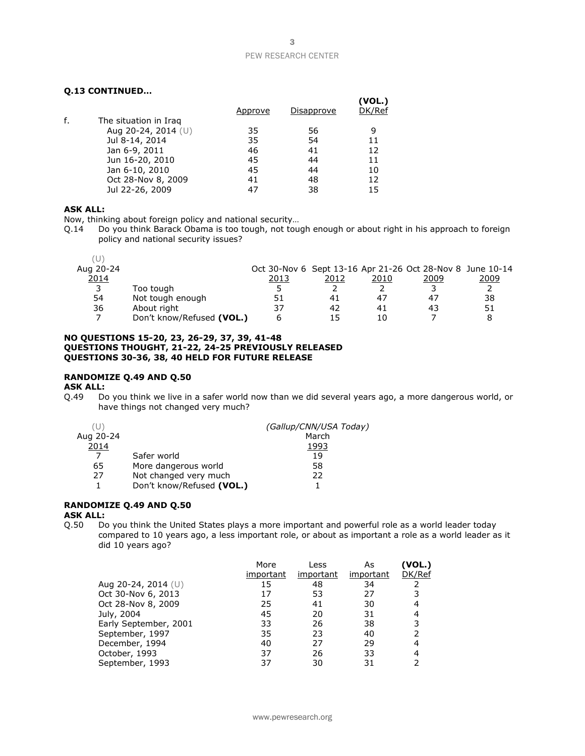## **Q.13 CONTINUED…**

|    |                       |         |            | (VOL.) |
|----|-----------------------|---------|------------|--------|
|    |                       | Approve | Disapprove | DK/Ref |
| f. | The situation in Iraq |         |            |        |
|    | Aug 20-24, 2014 (U)   | 35      | 56         | 9      |
|    | Jul 8-14, 2014        | 35      | 54         | 11     |
|    | Jan 6-9, 2011         | 46      | 41         | 12     |
|    | Jun 16-20, 2010       | 45      | 44         | 11     |
|    | Jan 6-10, 2010        | 45      | 44         | 10     |
|    | Oct 28-Nov 8, 2009    | 41      | 48         | 12     |
|    | Jul 22-26, 2009       | 47      | 38         | 15     |

## **ASK ALL:**

Now, thinking about foreign policy and national security…

Q.14 Do you think Barack Obama is too tough, not tough enough or about right in his approach to foreign policy and national security issues?

| Aug 20-24 |                           |      |      |      | Oct 30-Nov 6 Sept 13-16 Apr 21-26 Oct 28-Nov 8 June 10-14 |      |
|-----------|---------------------------|------|------|------|-----------------------------------------------------------|------|
| 2014      |                           | 2013 | 2012 | 2010 | 2009                                                      | 2009 |
| 3         | Too tough                 |      |      |      |                                                           |      |
| 54        | Not tough enough          | 51   | 41   | 47   | 47                                                        | 38   |
| 36        | About right               | 37   | 42   | 41   | 43                                                        | 51   |
|           | Don't know/Refused (VOL.) |      | 15   | 10   |                                                           |      |

#### **NO QUESTIONS 15-20, 23, 26-29, 37, 39, 41-48 QUESTIONS THOUGHT, 21-22, 24-25 PREVIOUSLY RELEASED QUESTIONS 30-36, 38, 40 HELD FOR FUTURE RELEASE**

# **RANDOMIZE Q.49 AND Q.50**

**ASK ALL:**

Q.49 Do you think we live in a safer world now than we did several years ago, a more dangerous world, or have things not changed very much?

|           |                           | (Gallup/CNN/USA Today) |
|-----------|---------------------------|------------------------|
| Aug 20-24 |                           | March                  |
| 2014      |                           | 1993                   |
|           | Safer world               | 19                     |
| 65        | More dangerous world      | 58                     |
| 27        | Not changed very much     | 22                     |
|           | Don't know/Refused (VOL.) |                        |

## **RANDOMIZE Q.49 AND Q.50**

# **ASK ALL:**

Q.50 Do you think the United States plays a more important and powerful role as a world leader today compared to 10 years ago, a less important role, or about as important a role as a world leader as it did 10 years ago?

|                       | More      | Less      | As        | (VOL.) |
|-----------------------|-----------|-----------|-----------|--------|
|                       | important | important | important | DK/Ref |
| Aug 20-24, 2014 $(U)$ | 15        | 48        | 34        |        |
| Oct 30-Nov 6, 2013    | 17        | 53        | 27        |        |
| Oct 28-Nov 8, 2009    | 25        | 41        | 30        |        |
| July, 2004            | 45        | 20        | 31        | 4      |
| Early September, 2001 | 33        | 26        | 38        |        |
| September, 1997       | 35        | 23        | 40        |        |
| December, 1994        | 40        | 27        | 29        | 4      |
| October, 1993         | 37        | 26        | 33        |        |
| September, 1993       | 37        | 30        | 31        |        |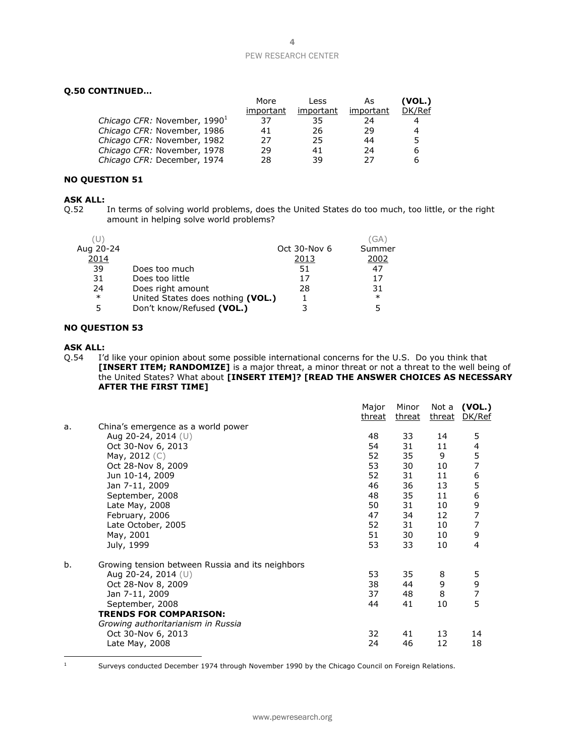## **Q.50 CONTINUED…**

| More      | Less      | As        | (VOL.) |
|-----------|-----------|-----------|--------|
| important | important | important | DK/Ref |
| 37        | 35        | 24        | 4      |
| 41        | 26        | 29        | 4      |
| 27        | 25        | 44        | 5      |
| 29        | 41        | 24        | 6      |
| 28        | 39        | 27        | 6      |
|           |           |           |        |

# **NO QUESTION 51**

# **ASK ALL:**<br>0.52

In terms of solving world problems, does the United States do too much, too little, or the right amount in helping solve world problems?

|           |                                   |              | (GA    |
|-----------|-----------------------------------|--------------|--------|
| Aug 20-24 |                                   | Oct 30-Nov 6 | Summer |
| 2014      |                                   | 2013         | 2002   |
| 39        | Does too much                     | 51           | 47     |
| 31        | Does too little                   | 17           | 17     |
| 24        | Does right amount                 | 28           | 31     |
| $\ast$    | United States does nothing (VOL.) |              | $\ast$ |
| 5         | Don't know/Refused (VOL.)         |              |        |
|           |                                   |              |        |

#### **NO QUESTION 53**

### **ASK ALL:**

Q.54 I'd like your opinion about some possible international concerns for the U.S. Do you think that **[INSERT ITEM; RANDOMIZE]** is a major threat, a minor threat or not a threat to the well being of the United States? What about **[INSERT ITEM]? [READ THE ANSWER CHOICES AS NECESSARY AFTER THE FIRST TIME]**

|    |                                                  | Major<br>threat | Minor<br>threat | Not a<br><u>threat</u> | (VOL.)<br>DK/Ref |
|----|--------------------------------------------------|-----------------|-----------------|------------------------|------------------|
| a. | China's emergence as a world power               |                 |                 |                        |                  |
|    | Aug 20-24, 2014 $(U)$                            | 48              | 33              | 14                     | 5                |
|    | Oct 30-Nov 6, 2013                               | 54              | 31              | 11                     | 4                |
|    | May, $2012$ (C)                                  | 52              | 35              | 9                      | 5                |
|    | Oct 28-Nov 8, 2009                               | 53              | 30              | 10                     | 7                |
|    | Jun 10-14, 2009                                  | 52              | 31              | 11                     | 6                |
|    | Jan 7-11, 2009                                   | 46              | 36              | 13                     | 5                |
|    | September, 2008                                  | 48              | 35              | 11                     | 6                |
|    | Late May, 2008                                   | 50              | 31              | 10                     | 9                |
|    | February, 2006                                   | 47              | 34              | 12                     | 7                |
|    | Late October, 2005                               | 52              | 31              | 10                     | 7                |
|    | May, 2001                                        | 51              | 30              | 10                     | 9                |
|    | July, 1999                                       | 53              | 33              | 10                     | 4                |
| b. | Growing tension between Russia and its neighbors |                 |                 |                        |                  |
|    | Aug 20-24, 2014 (U)                              | 53              | 35              | 8                      | 5                |
|    | Oct 28-Nov 8, 2009                               | 38              | 44              | 9                      | 9                |
|    | Jan 7-11, 2009                                   | 37              | 48              | 8                      | $\overline{7}$   |
|    | September, 2008                                  | 44              | 41              | 10                     | 5                |
|    | <b>TRENDS FOR COMPARISON:</b>                    |                 |                 |                        |                  |
|    | Growing authoritarianism in Russia               |                 |                 |                        |                  |
|    | Oct 30-Nov 6, 2013                               | 32              | 41              | 13                     | 14               |
|    | Late May, 2008                                   | 24              | 46              | 12                     | 18               |
|    |                                                  |                 |                 |                        |                  |

<sup>1</sup> Surveys conducted December 1974 through November 1990 by the Chicago Council on Foreign Relations.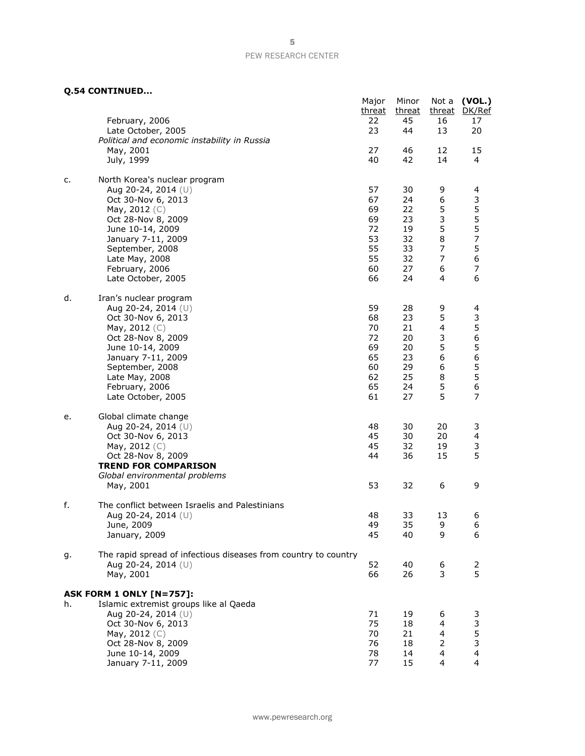**Q.54 CONTINUED...**

|    | Q.54 CONTINUED                                                                         |                       |                       |                       |                                            |
|----|----------------------------------------------------------------------------------------|-----------------------|-----------------------|-----------------------|--------------------------------------------|
|    | February, 2006                                                                         | Major<br>threat<br>22 | Minor<br>threat<br>45 | Not a<br>threat<br>16 | (VOL.)<br>DK/Ref<br>17                     |
|    | Late October, 2005<br>Political and economic instability in Russia                     | 23                    | 44                    | 13                    | 20                                         |
|    | May, 2001<br>July, 1999                                                                | 27<br>40              | 46<br>42              | 12<br>14              | 15<br>4                                    |
|    |                                                                                        |                       |                       |                       |                                            |
| c. | North Korea's nuclear program<br>Aug 20-24, 2014 (U)                                   | 57                    | 30                    | 9                     | 4                                          |
|    | Oct 30-Nov 6, 2013<br>May, 2012 (C)                                                    | 67<br>69              | 24<br>22              | 6<br>5                | 3                                          |
|    | Oct 28-Nov 8, 2009<br>June 10-14, 2009                                                 | 69<br>72              | 23<br>19              | 3<br>5                | 5557                                       |
|    | January 7-11, 2009                                                                     | 53                    | 32                    | 8                     |                                            |
|    | September, 2008<br>Late May, 2008                                                      | 55<br>55              | 33<br>32              | $\boldsymbol{7}$<br>7 | 5<br>6                                     |
|    | February, 2006<br>Late October, 2005                                                   | 60<br>66              | 27<br>24              | 6<br>4                | $\boldsymbol{7}$<br>6                      |
|    |                                                                                        |                       |                       |                       |                                            |
| d. | Iran's nuclear program<br>Aug 20-24, 2014 (U)                                          | 59                    | 28                    | 9                     | 4                                          |
|    | Oct 30-Nov 6, 2013<br>May, 2012 (C)                                                    | 68<br>70              | 23<br>21              | 5<br>4                | 3                                          |
|    | Oct 28-Nov 8, 2009                                                                     | 72                    | 20                    | 3<br>5                | $\frac{5}{6}$                              |
|    | June 10-14, 2009<br>January 7-11, 2009                                                 | 69<br>65              | 20<br>23              | 6                     | 5<br>$\begin{array}{c} 6 \\ 5 \end{array}$ |
|    | September, 2008<br>Late May, 2008                                                      | 60<br>62              | 29<br>25              | 6<br>8                | 5                                          |
|    | February, 2006                                                                         | 65<br>61              | 24<br>27              | 5<br>5                | 6<br>7                                     |
|    | Late October, 2005                                                                     |                       |                       |                       |                                            |
| e. | Global climate change<br>Aug 20-24, 2014 (U)                                           | 48                    | 30                    | 20                    | 3                                          |
|    | Oct 30-Nov 6, 2013<br>May, 2012 (C)                                                    | 45<br>45              | 30<br>32              | 20<br>19              | 4<br>3                                     |
|    | Oct 28-Nov 8, 2009                                                                     | 44                    | 36                    | 15                    | 5                                          |
|    | <b>TREND FOR COMPARISON</b><br>Global environmental problems                           |                       |                       |                       |                                            |
|    | May, 2001                                                                              | 53                    | 32                    | 6                     | 9                                          |
| f. | The conflict between Israelis and Palestinians                                         | 48                    | 33                    | 13                    | 6                                          |
|    | Aug 20-24, 2014 (U)<br>June, 2009                                                      | 49                    | 35                    | 9                     | 6                                          |
|    | January, 2009                                                                          | 45                    | 40                    | 9                     | 6                                          |
| g. | The rapid spread of infectious diseases from country to country<br>Aug 20-24, 2014 (U) | 52                    | 40                    | 6                     | 2                                          |
|    | May, 2001                                                                              | 66                    | 26                    | 3                     | 5                                          |
|    | <b>ASK FORM 1 ONLY [N=757]:</b>                                                        |                       |                       |                       |                                            |
| h. | Islamic extremist groups like al Qaeda<br>Aug 20-24, 2014 (U)                          | 71                    | 19                    | 6                     | 3                                          |
|    | Oct 30-Nov 6, 2013<br>May, 2012 (C)                                                    | 75<br>70              | 18<br>21              | 4<br>4                | $\begin{array}{c} 3 \\ 5 \\ 3 \end{array}$ |
|    | Oct 28-Nov 8, 2009                                                                     | 76                    | 18                    | 2                     |                                            |
|    | June 10-14, 2009<br>January 7-11, 2009                                                 | 78<br>77              | 14<br>15              | 4<br>4                | $\overline{\mathbf{4}}$<br>$\overline{4}$  |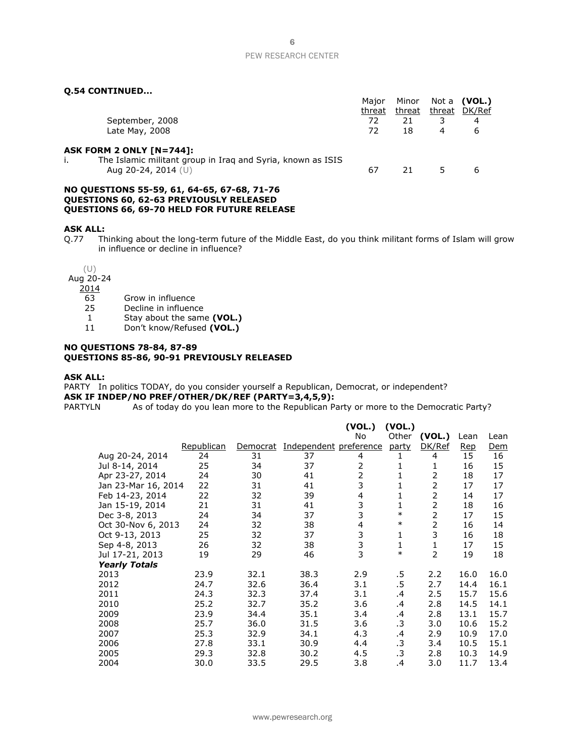## **Q.54 CONTINUED...**

|                                                                                    | Major  | Minor  |   | Not a <b>(VOL.)</b> |
|------------------------------------------------------------------------------------|--------|--------|---|---------------------|
|                                                                                    | threat | threat |   | threat DK/Ref       |
| September, 2008                                                                    | 72     | 21     | 3 | 4                   |
| Late May, 2008                                                                     | 72     | 18     | 4 | 6                   |
| ASK FORM 2 ONLY [N=744]:                                                           |        |        |   |                     |
| The Islamic militant group in Irag and Syria, known as ISIS<br>Aug 20-24, 2014 (U) | 67     | 21     |   | 6                   |
| NO QUESTIONS 55-59, 61, 64-65, 67-68, 71-76                                        |        |        |   |                     |
| <b>OUESTIONS 60, 62-63 PREVIOUSLY RELEASED</b>                                     |        |        |   |                     |

**QUESTIONS 66, 69-70 HELD FOR FUTURE RELEASE**

#### **ASK ALL:**

Q.77 Thinking about the long-term future of the Middle East, do you think militant forms of Islam will grow in influence or decline in influence?

(U)

Aug 20-24

 $\frac{2014}{63}$ 

- Grow in influence
- 25 Decline in influence
- 1 Stay about the same **(VOL.)**

11 Don't know/Refused **(VOL.)**

#### **NO QUESTIONS 78-84, 87-89 QUESTIONS 85-86, 90-91 PREVIOUSLY RELEASED**

#### **ASK ALL:**

PARTY In politics TODAY, do you consider yourself a Republican, Democrat, or independent? **ASK IF INDEP/NO PREF/OTHER/DK/REF (PARTY=3,4,5,9):**<br>PARTYLN As of today do you lean more to the Republican Pa

As of today do you lean more to the Republican Party or more to the Democratic Party?

|                      |                   |          |                        | (VOL.)         | (VOL.)  |                |            |      |
|----------------------|-------------------|----------|------------------------|----------------|---------|----------------|------------|------|
|                      |                   |          |                        | No             | Other   | (VOL.)         | Lean       | Lean |
|                      | <b>Republican</b> | Democrat | Independent preference |                | party   | DK/Ref         | <b>Rep</b> | Dem  |
| Aug 20-24, 2014      | 24                | 31       | 37                     | 4              | 1       | 4              | 15         | 16   |
| Jul 8-14, 2014       | 25                | 34       | 37                     | $\overline{2}$ | 1       | 1              | 16         | 15   |
| Apr 23-27, 2014      | 24                | 30       | 41                     | $\overline{2}$ | 1       | 2              | 18         | 17   |
| Jan 23-Mar 16, 2014  | 22                | 31       | 41                     | 3              | 1       | $\overline{2}$ | 17         | 17   |
| Feb 14-23, 2014      | 22                | 32       | 39                     | 4              | 1       | 2              | 14         | 17   |
| Jan 15-19, 2014      | 21                | 31       | 41                     | 3              | 1       | 2              | 18         | 16   |
| Dec 3-8, 2013        | 24                | 34       | 37                     | 3              | $\ast$  | 2              | 17         | 15   |
| Oct 30-Nov 6, 2013   | 24                | 32       | 38                     | 4              | $\ast$  | 2              | 16         | 14   |
| Oct 9-13, 2013       | 25                | 32       | 37                     | 3              | 1       | 3              | 16         | 18   |
| Sep 4-8, 2013        | 26                | 32       | 38                     | 3              | 1       | 1              | 17         | 15   |
| Jul 17-21, 2013      | 19                | 29       | 46                     | 3              | $\ast$  | 2              | 19         | 18   |
| <b>Yearly Totals</b> |                   |          |                        |                |         |                |            |      |
| 2013                 | 23.9              | 32.1     | 38.3                   | 2.9            | .5      | 2.2            | 16.0       | 16.0 |
| 2012                 | 24.7              | 32.6     | 36.4                   | 3.1            | .5      | 2.7            | 14.4       | 16.1 |
| 2011                 | 24.3              | 32.3     | 37.4                   | 3.1            | .4      | 2.5            | 15.7       | 15.6 |
| 2010                 | 25.2              | 32.7     | 35.2                   | 3.6            | .4      | 2.8            | 14.5       | 14.1 |
| 2009                 | 23.9              | 34.4     | 35.1                   | 3.4            | .4      | 2.8            | 13.1       | 15.7 |
| 2008                 | 25.7              | 36.0     | 31.5                   | 3.6            | .3      | 3.0            | 10.6       | 15.2 |
| 2007                 | 25.3              | 32.9     | 34.1                   | 4.3            | $\cdot$ | 2.9            | 10.9       | 17.0 |
| 2006                 | 27.8              | 33.1     | 30.9                   | 4.4            | .3      | 3.4            | 10.5       | 15.1 |
| 2005                 | 29.3              | 32.8     | 30.2                   | 4.5            | .3      | 2.8            | 10.3       | 14.9 |
| 2004                 | 30.0              | 33.5     | 29.5                   | 3.8            | $\cdot$ | 3.0            | 11.7       | 13.4 |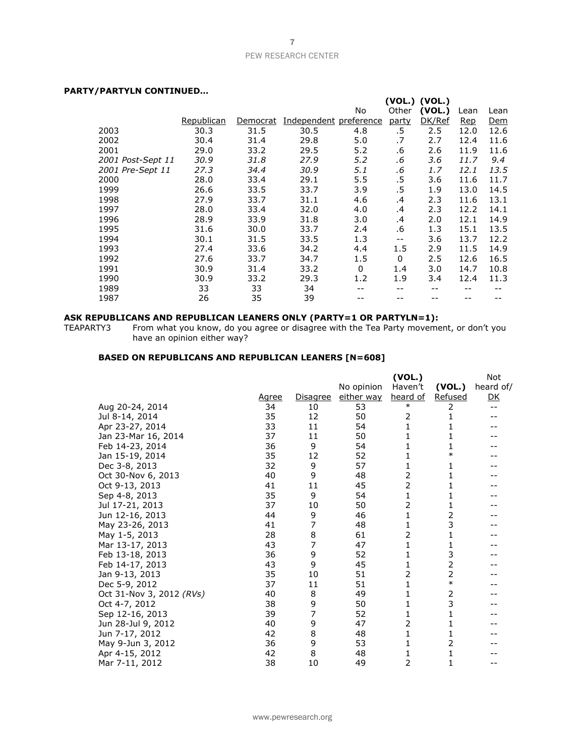## **PARTY/PARTYLN CONTINUED…**

|                   |            |          |                        |         |              | (VOL.) (VOL.) |      |      |
|-------------------|------------|----------|------------------------|---------|--------------|---------------|------|------|
|                   |            |          |                        | No      | Other        | (VOL.)        | Lean | Lean |
|                   | Republican | Democrat | Independent preference |         | party        | DK/Ref        | Rep  | Dem  |
| 2003              | 30.3       | 31.5     | 30.5                   | 4.8     | .5           | 2.5           | 12.0 | 12.6 |
| 2002              | 30.4       | 31.4     | 29.8                   | 5.0     | .7           | 2.7           | 12.4 | 11.6 |
| 2001              | 29.0       | 33.2     | 29.5                   | 5.2     | .6           | 2.6           | 11.9 | 11.6 |
| 2001 Post-Sept 11 | 30.9       | 31.8     | 27.9                   | 5.2     | .6           | 3.6           | 11.7 | 9.4  |
| 2001 Pre-Sept 11  | 27.3       | 34.4     | 30.9                   | 5.1     | .6           | 1.7           | 12.1 | 13.5 |
| 2000              | 28.0       | 33.4     | 29.1                   | 5.5     | .5           | 3.6           | 11.6 | 11.7 |
| 1999              | 26.6       | 33.5     | 33.7                   | 3.9     | .5           | 1.9           | 13.0 | 14.5 |
| 1998              | 27.9       | 33.7     | 31.1                   | 4.6     | .4           | 2.3           | 11.6 | 13.1 |
| 1997              | 28.0       | 33.4     | 32.0                   | 4.0     | .4           | 2.3           | 12.2 | 14.1 |
| 1996              | 28.9       | 33.9     | 31.8                   | 3.0     | .4           | 2.0           | 12.1 | 14.9 |
| 1995              | 31.6       | 30.0     | 33.7                   | 2.4     | .6           | 1.3           | 15.1 | 13.5 |
| 1994              | 30.1       | 31.5     | 33.5                   | 1.3     | $- -$        | 3.6           | 13.7 | 12.2 |
| 1993              | 27.4       | 33.6     | 34.2                   | 4.4     | 1.5          | 2.9           | 11.5 | 14.9 |
| 1992              | 27.6       | 33.7     | 34.7                   | $1.5\,$ | $\mathbf{0}$ | 2.5           | 12.6 | 16.5 |
| 1991              | 30.9       | 31.4     | 33.2                   | 0       | 1.4          | 3.0           | 14.7 | 10.8 |
| 1990              | 30.9       | 33.2     | 29.3                   | 1.2     | 1.9          | 3.4           | 12.4 | 11.3 |
| 1989              | 33         | 33       | 34                     |         |              |               |      | --   |
| 1987              | 26         | 35       | 39                     |         |              |               |      |      |
|                   |            |          |                        |         |              |               |      |      |

#### **ASK REPUBLICANS AND REPUBLICAN LEANERS ONLY (PARTY=1 OR PARTYLN=1):**

TEAPARTY3 From what you know, do you agree or disagree with the Tea Party movement, or don't you have an opinion either way?

# **BASED ON REPUBLICANS AND REPUBLICAN LEANERS [N=608]**

|                          |       |          |            | (VOL.)         |                | <b>Not</b>     |
|--------------------------|-------|----------|------------|----------------|----------------|----------------|
|                          |       |          | No opinion | Haven't        | (VOL.)         | heard of/      |
|                          | Agree | Disagree | either way | heard of       | Refused        | D <sub>K</sub> |
| Aug 20-24, 2014          | 34    | 10       | 53         | $\ast$         | 2              | $-1$           |
| Jul 8-14, 2014           | 35    | 12       | 50         | 2              | 1              |                |
| Apr 23-27, 2014          | 33    | 11       | 54         | 1              | 1              |                |
| Jan 23-Mar 16, 2014      | 37    | 11       | 50         | 1              | 1              |                |
| Feb 14-23, 2014          | 36    | 9        | 54         | 1              | 1              |                |
| Jan 15-19, 2014          | 35    | 12       | 52         | 1              | $\ast$         |                |
| Dec 3-8, 2013            | 32    | 9        | 57         | 1              | 1              |                |
| Oct 30-Nov 6, 2013       | 40    | 9        | 48         | $\overline{2}$ | 1              |                |
| Oct 9-13, 2013           | 41    | 11       | 45         | $\overline{2}$ | 1              |                |
| Sep 4-8, 2013            | 35    | 9        | 54         | 1              | 1              |                |
| Jul 17-21, 2013          | 37    | 10       | 50         | 2              | 1              |                |
| Jun 12-16, 2013          | 44    | 9        | 46         | 1              | 2              |                |
| May 23-26, 2013          | 41    | 7        | 48         | 1              | 3              |                |
| May 1-5, 2013            | 28    | 8        | 61         | $\overline{2}$ | 1              |                |
| Mar 13-17, 2013          | 43    | 7        | 47         | 1              | 1              |                |
| Feb 13-18, 2013          | 36    | 9        | 52         | 1              | 3              |                |
| Feb 14-17, 2013          | 43    | 9        | 45         | 1              | $\overline{2}$ |                |
| Jan 9-13, 2013           | 35    | 10       | 51         | $\overline{2}$ | 2              |                |
| Dec 5-9, 2012            | 37    | 11       | 51         | 1              | $\ast$         |                |
| Oct 31-Nov 3, 2012 (RVs) | 40    | 8        | 49         | 1              | 2              |                |
| Oct 4-7, 2012            | 38    | 9        | 50         | 1              | 3              |                |
| Sep 12-16, 2013          | 39    | 7        | 52         | 1              | 1              |                |
| Jun 28-Jul 9, 2012       | 40    | 9        | 47         | 2              | 1              |                |
| Jun 7-17, 2012           | 42    | 8        | 48         | 1              | 1              |                |
| May 9-Jun 3, 2012        | 36    | 9        | 53         | 1              | 2              |                |
| Apr 4-15, 2012           | 42    | 8        | 48         | 1              | 1              |                |
| Mar 7-11, 2012           | 38    | 10       | 49         | 2              | 1              | --             |